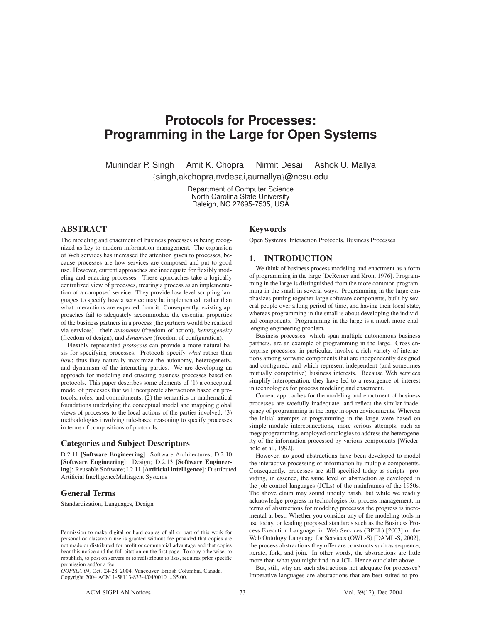# **Protocols for Processes: Programming in the Large for Open Systems Programming in the Large for Open Systems**

Munindar P. Singh Amit K. Chopra Nirmit Desai Ashok U. Mallya {singh,akchopra,nvdesai,aumallya}@ncsu.edu

> Department of Computer Science<br>North Carolina State University Raleigh, NC 27695-7535, USA  $R_{\rm s}$ ,  $\sim$   $R_{\rm s}$   $\sim$   $R_{\rm s}$   $\sim$   $R_{\rm s}$

# **ABSTRACT**

The modeling and enactment of business processes is being recognized as key to modern information management. The expansion of Web services has increased the attention given to processes, because processes are how services are composed and put to good use. However, current approaches are inadequate for flexibly modeling and enacting processes. These approaches take a logically centralized view of processes, treating a process as an implementation of a composed service. They provide low-level scripting languages to specify how a service may be implemented, rather than what interactions are expected from it. Consequently, existing approaches fail to adequately accommodate the essential properties of the business partners in a process (the partners would be realized via services)—their *autonomy* (freedom of action), *heterogeneity* (freedom of design), and *dynamism* (freedom of configuration).

Flexibly represented *protocols* can provide a more natural basis for specifying processes. Protocols specify *what* rather than *how*; thus they naturally maximize the autonomy, heterogeneity, and dynamism of the interacting parties. We are developing an approach for modeling and enacting business processes based on protocols. This paper describes some elements of (1) a conceptual model of processes that will incorporate abstractions based on protocols, roles, and commitments; (2) the semantics or mathematical foundations underlying the conceptual model and mapping global views of processes to the local actions of the parties involved; (3) methodologies involving rule-based reasoning to specify processes in terms of compositions of protocols.

### **Categories and Subject Descriptors**

D.2.11 [**Software Engineering**]: Software Architectures; D.2.10 [**Software Engineering**]: Design; D.2.13 [**Software Engineering**]: Reusable Software; I.2.11 [**Artificial Intelligence**]: Distributed Artificial IntelligenceMultiagent Systems

# **General Terms**

Standardization, Languages, Design

*OOPSLA'04,* Oct. 24-28, 2004, Vancouver, British Columbia, Canada. Copyright 2004 ACM 1-58113-833-4/04/0010 ...\$5.00.

#### **Keywords**

Open Systems, Interaction Protocols, Business Processes

#### **1. INTRODUCTION**

We think of business process modeling and enactment as a form of programming in the large [DeRemer and Kron, 1976]. Programming in the large is distinguished from the more common programming in the small in several ways. Programming in the large emphasizes putting together large software components, built by several people over a long period of time, and having their local state, whereas programming in the small is about developing the individual components. Programming in the large is a much more challenging engineering problem.

Business processes, which span multiple autonomous business partners, are an example of programming in the large. Cross enterprise processes, in particular, involve a rich variety of interactions among software components that are independently designed and configured, and which represent independent (and sometimes mutually competitive) business interests. Because Web services simplify interoperation, they have led to a resurgence of interest in technologies for process modeling and enactment.

Current approaches for the modeling and enactment of business processes are woefully inadequate, and reflect the similar inadequacy of programming in the large in open environments. Whereas the initial attempts at programming in the large were based on simple module interconnections, more serious attempts, such as megaprogramming, employed ontologies to address the heterogeneity of the information processed by various components [Wiederhold et al., 1992].

However, no good abstractions have been developed to model the interactive processing of information by multiple components. Consequently, processes are still specified today as scripts– providing, in essence, the same level of abstraction as developed in the job control languages (JCLs) of the mainframes of the 1950s. The above claim may sound unduly harsh, but while we readily acknowledge progress in technologies for process management, in terms of abstractions for modeling processes the progress is incremental at best. Whether you consider any of the modeling tools in use today, or leading proposed standards such as the Business Process Execution Language for Web Services (BPEL) [2003] or the Web Ontology Language for Services (OWL-S) [DAML-S, 2002], the process abstractions they offer are constructs such as sequence, iterate, fork, and join. In other words, the abstractions are little more than what you might find in a JCL. Hence our claim above.

But, still, why are such abstractions not adequate for processes? Imperative languages are abstractions that are best suited to pro-

Permission to make digital or hard copies of all or part of this work for personal or classroom use is granted without fee provided that copies are not made or distributed for profit or commercial advantage and that copies bear this notice and the full citation on the first page. To copy otherwise, to republish, to post on servers or to redistribute to lists, requires prior specific permission and/or a fee.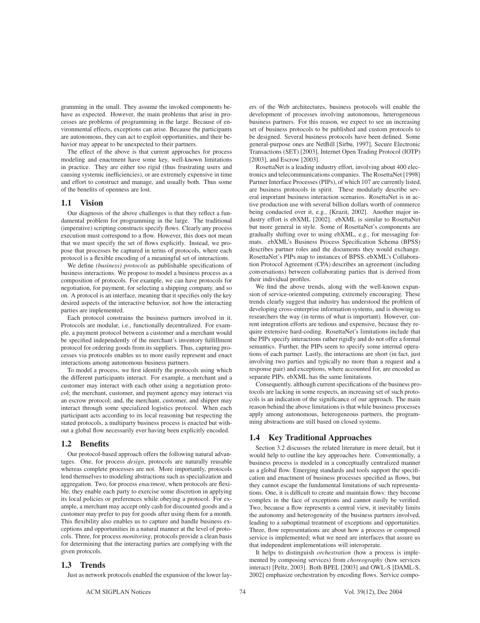gramming in the small. They assume the invoked components behave as expected. However, the main problems that arise in processes are problems of programming in the large. Because of environmental effects, exceptions can arise. Because the participants are autonomous, they can act to exploit opportunities, and their behavior may appear to be unexpected to their partners.

The effect of the above is that current approaches for process modeling and enactment have some key, well-known limitations in practice. They are either too rigid (thus frustrating users and causing systemic inefficiencies), or are extremely expensive in time and effort to construct and manage, and usually both. Thus some of the benefits of openness are lost.

# **1.1 Vision**

Our diagnosis of the above challenges is that they reflect a fundamental problem for programming in the large. The traditional (imperative) scripting constructs specify flows. Clearly any process execution must correspond to a flow. However, this does not mean that we must specify the set of flows explicitly. Instead, we propose that processes be captured in terms of protocols, where each protocol is a flexible encoding of a meaningful set of interactions.

We define *(business) protocols* as publishable specifications of business interactions. We propose to model a business process as a composition of protocols. For example, we can have protocols for negotiation, for payment, for selecting a shipping company, and so on. A protocol is an interface, meaning that it specifies only the key desired aspects of the interactive behavior, not how the interacting parties are implemented.

Each protocol constrains the business partners involved in it. Protocols are modular, i.e., functionally decentralized. For example, a payment protocol between a customer and a merchant would be specified independently of the merchant's inventory fulfillment protocol for ordering goods from its suppliers. Thus, capturing processes via protocols enables us to more easily represent and enact interactions among autonomous business partners.

To model a process, we first identify the protocols using which the different participants interact. For example, a merchant and a customer may interact with each other using a negotiation protocol; the merchant, customer, and payment agency may interact via an escrow protocol; and, the merchant, customer, and shipper may interact through some specialized logistics protocol. When each participant acts according to its local reasoning but respecting the stated protocols, a multiparty business process is enacted but without a global flow necessarily ever having been explicitly encoded.

#### **1.2 Benefits**

Our protocol-based approach offers the following natural advantages. One, for process *design*, protocols are naturally reusable whereas complete processes are not. More importantly, protocols lend themselves to modeling abstractions such as specialization and aggregation. Two, for process *enactment*, when protocols are flexible, they enable each party to exercise some discretion in applying its local policies or preferences while obeying a protocol. For example, a merchant may accept only cash for discounted goods and a customer may prefer to pay for goods after using them for a month. This flexibility also enables us to capture and handle business exceptions and opportunities in a natural manner at the level of protocols. Three, for process *monitoring*, protocols provide a clean basis for determining that the interacting parties are complying with the given protocols.

# **1.3 Trends**

Just as network protocols enabled the expansion of the lower lay-

ers of the Web architectures, business protocols will enable the development of processes involving autonomous, heterogeneous business partners. For this reason, we expect to see an increasing set of business protocols to be published and custom protocols to be designed. Several business protocols have been defined. Some general-purpose ones are NetBill [Sirbu, 1997], Secure Electronic Transactions (SET) [2003], Internet Open Trading Protocol (IOTP) [2003], and Escrow [2003].

RosettaNet is a leading industry effort, involving about 400 electronics and telecommunications companies. The RosettaNet [1998] Partner Interface Processes (PIPs), of which 107 are currently listed, are business protocols in spirit. These modularly describe several important business interaction scenarios. RosettaNet is in active production use with several billion dollars worth of commerce being conducted over it, e.g., [Krazit, 2002]. Another major industry effort is ebXML [2002]. ebXML is similar to RosettaNet but more general in style. Some of RosettaNet's components are gradually shifting over to using ebXML, e.g., for messaging formats. ebXML's Business Process Specification Schema (BPSS) describes partner roles and the documents they would exchange. RosettaNet's PIPs map to instances of BPSS. ebXML's Collaboration Protocol Agreement (CPA) describes an agreement (including conversations) between collaborating parties that is derived from their individual profiles.

We find the above trends, along with the well-known expansion of service-oriented computing, extremely encouraging. These trends clearly suggest that industry has understood the problem of developing cross-enterprise information systems, and is showing us researchers the way (in terms of what is important). However, current integration efforts are tedious and expensive, because they require extensive hard-coding. RosettaNet's limitations include that the PIPs specify interactions rather rigidly and do not offer a formal semantics. Further, the PIPs seem to specify some internal operations of each partner. Lastly, the interactions are short (in fact, just involving two parties and typically no more than a request and a response pair) and exceptions, where accounted for, are encoded as separate PIPs. ebXML has the same limitations.

Consequently, although current specifications of the business protocols are lacking in some respects, an increasing set of such protocols is an indication of the significance of our approach. The main reason behind the above limitations is that while business processes apply among autonomous, heterogeneous partners, the programming abstractions are still based on closed systems.

### **1.4 Key Traditional Approaches**

Section 3.2 discusses the related literature in more detail, but it would help to outline the key approaches here. Conventionally, a business process is modeled in a conceptually centralized manner as a global flow. Emerging standards and tools support the specification and enactment of business processes specified as flows, but they cannot escape the fundamental limitations of such representations. One, it is difficult to create and maintain flows: they become complex in the face of exceptions and cannot easily be verified. Two, because a flow represents a central view, it inevitably limits the autonomy and heterogeneity of the business partners involved, leading to a suboptimal treatment of exceptions and opportunities. Three, flow representations are about how a process or composed service is implemented; what we need are interfaces that assure us that independent implementations will interoperate.

It helps to distinguish *orchestration* (how a process is implemented by composing services) from *choreography* (how services interact) [Peltz, 2003]. Both BPEL [2003] and OWL-S [DAML-S, 2002] emphasize orchestration by encoding flows. Service compo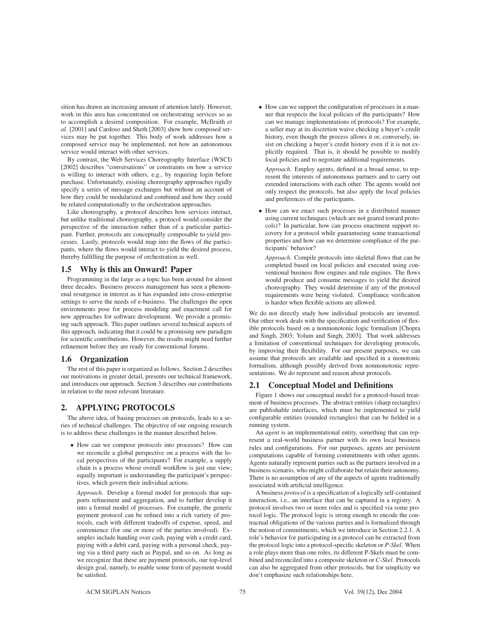sition has drawn an increasing amount of attention lately. However, work in this area has concentrated on orchestrating services so as to accomplish a desired composition. For example, McIlraith *et al.* [2001] and Cardoso and Sheth [2003] show how composed services may be put together. This body of work addresses how a composed service may be implemented, not how an autonomous service would interact with other services.

By contrast, the Web Services Choreography Interface (WSCI) [2002] describes "conversations" or constraints on how a service is willing to interact with others, e.g., by requiring login before purchase. Unfortunately, existing choreography approaches rigidly specify a series of message exchanges but without an account of how they could be modularized and combined and how they could be related computationally to the orchestration approaches.

Like choreography, a protocol describes how services interact, but unlike traditional choreography, a protocol would consider the perspective of the interaction rather than of a particular participant. Further, protocols are conceptually composable to yield processes. Lastly, protocols would map into the flows of the participants, where the flows would interact to yield the desired process, thereby fulfilling the purpose of orchestration as well.

#### **1.5 Why is this an Onward! Paper**

Programming in the large as a topic has been around for almost three decades. Business process management has seen a phenomenal resurgence in interest as it has expanded into cross-enterprise settings to serve the needs of e-business. The challenges the open environments pose for process modeling and enactment call for new approaches for software development. We provide a promising such approach. This paper outlines several technical aspects of this approach, indicating that it could be a promising new paradigm for scientific contributions. However, the results might need further refinement before they are ready for conventional forums.

# **1.6 Organization**

The rest of this paper is organized as follows. Section 2 describes our motivations in greater detail, presents our technical framework, and introduces our approach. Section 3 describes our contributions in relation to the most relevant literature.

# **2. APPLYING PROTOCOLS**

The above idea, of basing processes on protocols, leads to a series of technical challenges. The objective of our ongoing research is to address these challenges in the manner described below.

• How can we compose protocols into processes? How can we reconcile a global perspective on a process with the local perspectives of the participants? For example, a supply chain is a process whose overall workflow is just one view; equally important is understanding the participant's perspectives, which govern their individual actions.

*Approach*. Develop a formal model for protocols that supports refinement and aggregation, and to further develop it into a formal model of processes. For example, the generic payment protocol can be refined into a rich variety of protocols, each with different tradeoffs of expense, speed, and convenience (for one or more of the parties involved). Examples include handing over cash, paying with a credit card, paying with a debit card, paying with a personal check, paying via a third party such as Paypal, and so on. As long as we recognize that these are payment protocols, our top-level design goal, namely, to enable some form of payment would be satisfied.

• How can we support the configuration of processes in a manner that respects the local policies of the participants? How can we manage implementations of protocols? For example, a seller may at its discretion waive checking a buyer's credit history, even though the process allows it or, conversely, insist on checking a buyer's credit history even if it is not explicitly required. That is, it should be possible to modify local policies and to negotiate additional requirements.

*Approach*. Employ agents, defined in a broad sense, to represent the interests of autonomous partners and to carry out extended interactions with each other. The agents would not only respect the protocols, but also apply the local policies and preferences of the participants.

• How can we enact such processes in a distributed manner using current techniques (which are not geared toward protocols)? In particular, how can process enactment support recovery for a protocol while guaranteeing some transactional properties and how can we determine compliance of the participants' behavior?

*Approach*. Compile protocols into skeletal flows that can be completed based on local policies and executed using conventional business flow engines and rule engines. The flows would produce and consume messages to yield the desired choreography. They would determine if any of the protocol requirements were being violated. Compliance verification is harder when flexible actions are allowed.

We do not directly study how individual protocols are invented. Our other work deals with the specification and verification of flexible protocols based on a nonmonotonic logic formalism [Chopra and Singh, 2003; Yolum and Singh, 2003]. That work addresses a limitation of conventional techniques for developing protocols, by improving their flexibility. For our present purposes, we can assume that protocols are available and specified in a monotonic formalism, although possibly derived from nonmonotonic representations. We do represent and reason about protocols.

#### **2.1 Conceptual Model and Definitions**

Figure 1 shows our conceptual model for a protocol-based treatment of business processes. The abstract entities (sharp rectangles) are publishable interfaces, which must be implemented to yield configurable entities (rounded rectangles) that can be fielded in a running system.

An *agent* is an implementational entity, something that can represent a real-world business partner with its own local business rules and configurations. For our purposes, agents are persistent computations capable of forming commitments with other agents. Agents naturally represent parties such as the partners involved in a business scenario, who might collaborate but retain their autonomy. There is no assumption of any of the aspects of agents traditionally associated with artificial intelligence.

A business *protocol* is a specification of a logically self-contained interaction, i.e., an interface that can be captured in a registry. A protocol involves two or more roles and is specified via some protocol logic. The protocol logic is strong enough to encode the contractual obligations of the various parties and is formalized through the notion of commitments, which we introduce in Section 2.2.1. A role's behavior for participating in a protocol can be extracted from the protocol logic into a protocol-specific skeleton or *P-Skel*. When a role plays more than one roles, its different P-Skels must be combined and reconciled into a composite skeleton or *C-Skel*. Protocols can also be aggregated from other protocols, but for simplicity we don't emphasize such relationships here.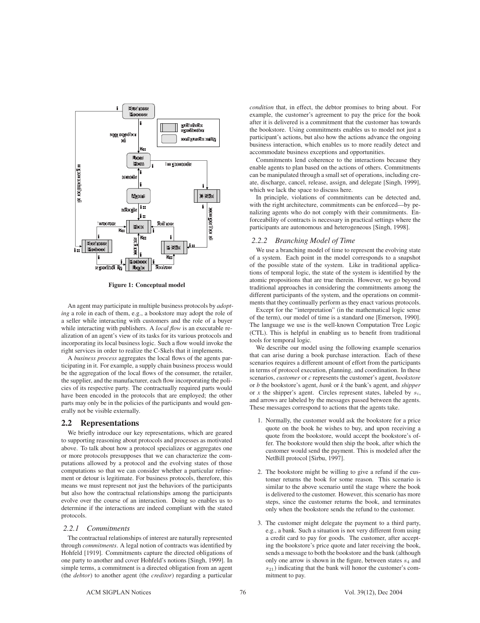

**Figure 1: Conceptual model**

An agent may participate in multiple business protocols by *adopting* a role in each of them, e.g., a bookstore may adopt the role of a seller while interacting with customers and the role of a buyer while interacting with publishers. A *local flow* is an executable realization of an agent's view of its tasks for its various protocols and incorporating its local business logic. Such a flow would invoke the right services in order to realize the C-Skels that it implements.

A *business process* aggregates the local flows of the agents participating in it. For example, a supply chain business process would be the aggregation of the local flows of the consumer, the retailer, the supplier, and the manufacturer, each flow incorporating the policies of its respective party. The contractually required parts would have been encoded in the protocols that are employed; the other parts may only be in the policies of the participants and would generally not be visible externally.

### **2.2 Representations**

We briefly introduce our key representations, which are geared to supporting reasoning about protocols and processes as motivated above. To talk about how a protocol specializes or aggregates one or more protocols presupposes that we can characterize the computations allowed by a protocol and the evolving states of those computations so that we can consider whether a particular refinement or detour is legitimate. For business protocols, therefore, this means we must represent not just the behaviors of the participants but also how the contractual relationships among the participants evolve over the course of an interaction. Doing so enables us to determine if the interactions are indeed compliant with the stated protocols.

#### *2.2.1 Commitments*

The contractual relationships of interest are naturally represented through *commitments*. A legal notion of contracts was identified by Hohfeld [1919]. Commitments capture the directed obligations of one party to another and cover Hohfeld's notions [Singh, 1999]. In simple terms, a commitment is a directed obligation from an agent (the *debtor*) to another agent (the *creditor*) regarding a particular *condition* that, in effect, the debtor promises to bring about. For example, the customer's agreement to pay the price for the book after it is delivered is a commitment that the customer has towards the bookstore. Using commitments enables us to model not just a participant's actions, but also how the actions advance the ongoing business interaction, which enables us to more readily detect and accommodate business exceptions and opportunities.

Commitments lend coherence to the interactions because they enable agents to plan based on the actions of others. Commitments can be manipulated through a small set of operations, including create, discharge, cancel, release, assign, and delegate [Singh, 1999], which we lack the space to discuss here.

In principle, violations of commitments can be detected and, with the right architecture, commitments can be enforced—by penalizing agents who do not comply with their commitments. Enforceability of contracts is necessary in practical settings where the participants are autonomous and heterogeneous [Singh, 1998].

#### *2.2.2 Branching Model of Time*

We use a branching model of time to represent the evolving state of a system. Each point in the model corresponds to a snapshot of the possible state of the system. Like in traditional applications of temporal logic, the state of the system is identified by the atomic propositions that are true therein. However, we go beyond traditional approaches in considering the commitments among the different participants of the system, and the operations on commitments that they continually perform as they enact various protocols.

Except for the "interpretation" (in the mathematical logic sense of the term), our model of time is a standard one [Emerson, 1990]. The language we use is the well-known Computation Tree Logic (CTL). This is helpful in enabling us to benefit from traditional tools for temporal logic.

We describe our model using the following example scenarios that can arise during a book purchase interaction. Each of these scenarios requires a different amount of effort from the participants in terms of protocol execution, planning, and coordination. In these scenarios, *customer* or *c* represents the customer's agent, *bookstore* or *b* the bookstore's agent, *bank* or *k* the bank's agent, and *shipper* or *x* the shipper's agent. Circles represent states, labeled by  $s_i$ , and arrows are labeled by the messages passed between the agents. These messages correspond to actions that the agents take.

- 1. Normally, the customer would ask the bookstore for a price quote on the book he wishes to buy, and upon receiving a quote from the bookstore, would accept the bookstore's offer. The bookstore would then ship the book, after which the customer would send the payment. This is modeled after the NetBill protocol [Sirbu, 1997].
- 2. The bookstore might be willing to give a refund if the customer returns the book for some reason. This scenario is similar to the above scenario until the stage where the book is delivered to the customer. However, this scenario has more steps, since the customer returns the book, and terminates only when the bookstore sends the refund to the customer.
- 3. The customer might delegate the payment to a third party, e.g., a bank. Such a situation is not very different from using a credit card to pay for goods. The customer, after accepting the bookstore's price quote and later receiving the book, sends a message to both the bookstore and the bank (although only one arrow is shown in the figure, between states  $s_4$  and  $s_{21}$ ) indicating that the bank will honor the customer's commitment to pay.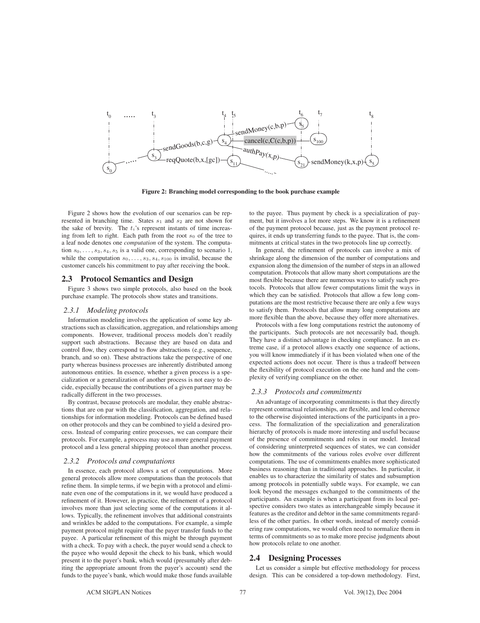

**Figure 2: Branching model corresponding to the book purchase example**

Figure 2 shows how the evolution of our scenarios can be represented in branching time. States  $s_1$  and  $s_2$  are not shown for the sake of brevity. The  $t_i$ 's represent instants of time increasing from left to right. Each path from the root  $s_0$  of the tree to a leaf node denotes one *computation* of the system. The computation  $s_0, \ldots, s_3, s_4, s_5$  is a valid one, corresponding to scenario 1, while the computation  $s_0, \ldots, s_3, s_4, s_{100}$  is invalid, because the customer cancels his commitment to pay after receiving the book.

### **2.3 Protocol Semantics and Design**

Figure 3 shows two simple protocols, also based on the book purchase example. The protocols show states and transitions.

#### *2.3.1 Modeling protocols*

Information modeling involves the application of some key abstractions such as classification, aggregation, and relationships among components. However, traditional process models don't readily support such abstractions. Because they are based on data and control flow, they correspond to flow abstractions (e.g., sequence, branch, and so on). These abstractions take the perspective of one party whereas business processes are inherently distributed among autonomous entities. In essence, whether a given process is a specialization or a generalization of another process is not easy to decide, especially because the contributions of a given partner may be radically different in the two processes.

By contrast, because protocols are modular, they enable abstractions that are on par with the classification, aggregation, and relationships for information modeling. Protocols can be defined based on other protocols and they can be combined to yield a desired process. Instead of comparing entire processes, we can compare their protocols. For example, a process may use a more general payment protocol and a less general shipping protocol than another process.

#### *2.3.2 Protocols and computations*

In essence, each protocol allows a set of computations. More general protocols allow more computations than the protocols that refine them. In simple terms, if we begin with a protocol and eliminate even one of the computations in it, we would have produced a refinement of it. However, in practice, the refinement of a protocol involves more than just selecting some of the computations it allows. Typically, the refinement involves that additional constraints and wrinkles be added to the computations. For example, a simple payment protocol might require that the payer transfer funds to the payee. A particular refinement of this might be through payment with a check. To pay with a check, the payer would send a check to the payee who would deposit the check to his bank, which would present it to the payer's bank, which would (presumably after debiting the appropriate amount from the payer's account) send the funds to the payee's bank, which would make those funds available

to the payee. Thus payment by check is a specialization of payment, but it involves a lot more steps. We know it is a refinement of the payment protocol because, just as the payment protocol requires, it ends up transferring funds to the payee. That is, the commitments at critical states in the two protocols line up correctly.

In general, the refinement of protocols can involve a mix of shrinkage along the dimension of the number of computations and expansion along the dimension of the number of steps in an allowed computation. Protocols that allow many short computations are the most flexible because there are numerous ways to satisfy such protocols. Protocols that allow fewer computations limit the ways in which they can be satisfied. Protocols that allow a few long computations are the most restrictive because there are only a few ways to satisfy them. Protocols that allow many long computations are more flexible than the above, because they offer more alternatives.

Protocols with a few long computations restrict the autonomy of the participants. Such protocols are not necessarily bad, though. They have a distinct advantage in checking compliance. In an extreme case, if a protocol allows exactly one sequence of actions, you will know immediately if it has been violated when one of the expected actions does not occur. There is thus a tradeoff between the flexibility of protocol execution on the one hand and the complexity of verifying compliance on the other.

#### *2.3.3 Protocols and commitments*

An advantage of incorporating commitments is that they directly represent contractual relationships, are flexible, and lend coherence to the otherwise disjointed interactions of the participants in a process. The formalization of the specialization and generalization hierarchy of protocols is made more interesting and useful because of the presence of commitments and roles in our model. Instead of considering uninterpreted sequences of states, we can consider how the commitments of the various roles evolve over different computations. The use of commitments enables more sophisticated business reasoning than in traditional approaches. In particular, it enables us to characterize the similarity of states and subsumption among protocols in potentially subtle ways. For example, we can look beyond the messages exchanged to the commitments of the participants. An example is when a participant from its local perspective considers two states as interchangeable simply because it features as the creditor and debtor in the same commitments regardless of the other parties. In other words, instead of merely considering raw computations, we would often need to normalize them in terms of commitments so as to make more precise judgments about how protocols relate to one another.

# **2.4 Designing Processes**

Let us consider a simple but effective methodology for process design. This can be considered a top-down methodology. First,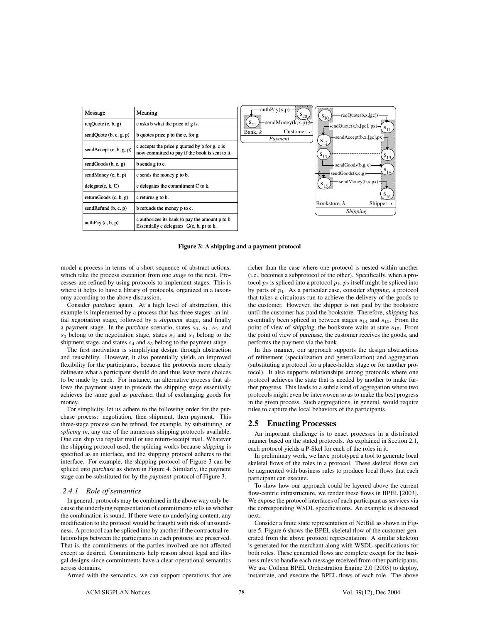

**Figure 3: A shipping and a payment protocol**

model a process in terms of a short sequence of abstract actions, which take the process execution from one *stage* to the next. Processes are refined by using protocols to implement stages. This is where it helps to have a library of protocols, organized in a taxonomy according to the above discussion.

Consider purchase again. At a high level of abstraction, this example is implemented by a process that has three stages: an initial negotiation stage, followed by a shipment stage, and finally a payment stage. In the purchase scenario, states  $s_0$ ,  $s_1$ ,  $s_2$ , and  $s_3$  belong to the negotiation stage, states  $s_3$  and  $s_4$  belong to the shipment stage, and states  $s_4$  and  $s_5$  belong to the payment stage.

The first motivation is simplifying design through abstraction and reusability. However, it also potentially yields an improved flexibility for the participants, because the protocols more clearly delineate what a participant should do and thus leave more choices to be made by each. For instance, an alternative process that allows the payment stage to precede the shipping stage essentially achieves the same goal as purchase, that of exchanging goods for money.

For simplicity, let us adhere to the following order for the purchase process: negotiation, then shipment, then payment. This three-stage process can be refined, for example, by substituting, or *splicing in*, any one of the numerous shipping protocols available. One can ship via regular mail or use return-receipt mail. Whatever the shipping protocol used, the splicing works because shipping is specified as an interface, and the shipping protocol adheres to the interface. For example, the shipping protocol of Figure 3 can be spliced into purchase as shown in Figure 4. Similarly, the payment stage can be substituted for by the payment protocol of Figure 3.

#### *2.4.1 Role of semantics*

In general, protocols may be combined in the above way only because the underlying representation of commitments tells us whether the combination is sound. If there were no underlying content, any modification to the protocol would be fraught with risk of unsoundness. A protocol can be spliced into by another if the contractual relationships between the participants in each protocol are preserved. That is, the commitments of the parties involved are not affected except as desired. Commitments help reason about legal and illegal designs since commitments have a clear operational semantics across domains.

richer than the case where one protocol is nested within another (i.e., becomes a subprotocol of the other). Specifically, when a protocol  $p_2$  is spliced into a protocol  $p_1$ ,  $p_2$  itself might be spliced into by parts of  $p_1$ . As a particular case, consider shipping, a protocol that takes a circuitous run to achieve the delivery of the goods to the customer. However, the shipper is not paid by the bookstore until the customer has paid the bookstore. Therefore, shipping has essentially been spliced in between stages  $s_{14}$  and  $s_{15}$ . From the point of view of shipping, the bookstore waits at state  $s_{15}$ . From the point of view of purchase, the customer receives the goods, and performs the payment via the bank.

In this manner, our approach supports the design abstractions of refinement (specialization and generalization) and aggregation (substituting a protocol for a place-holder stage or for another protocol). It also supports relationships among protocols where one protocol achieves the state that is needed by another to make further progress. This leads to a subtle kind of aggregation where two protocols might even be interwoven so as to make the best progress in the given process. Such aggregations, in general, would require rules to capture the local behaviors of the participants.

# **2.5 Enacting Processes**

An important challenge is to enact processes in a distributed manner based on the stated protocols. As explained in Section 2.1, each protocol yields a P-Skel for each of the roles in it.

In preliminary work, we have prototyped a tool to generate local skeletal flows of the roles in a protocol. These skeletal flows can be augmented with business rules to produce local flows that each participant can execute.

To show how our approach could be layered above the current flow-centric infrastructure, we render these flows in BPEL [2003]. We expose the protocol interfaces of each participant as services via the corresponding WSDL specifications. An example is discussed next.

Consider a finite state representation of NetBill as shown in Figure 5. Figure 6 shows the BPEL skeletal flow of the customer generated from the above protocol representation. A similar skeleton is generated for the merchant along with WSDL specifications for both roles. These generated flows are complete except for the business rules to handle each message received from other participants. We use Collaxa BPEL Orchestration Engine 2.0 [2003] to deploy, instantiate, and execute the BPEL flows of each role. The above

Armed with the semantics, we can support operations that are

ACM SIGPLAN Notices 78 78 Vol. 39(12), Dec 2004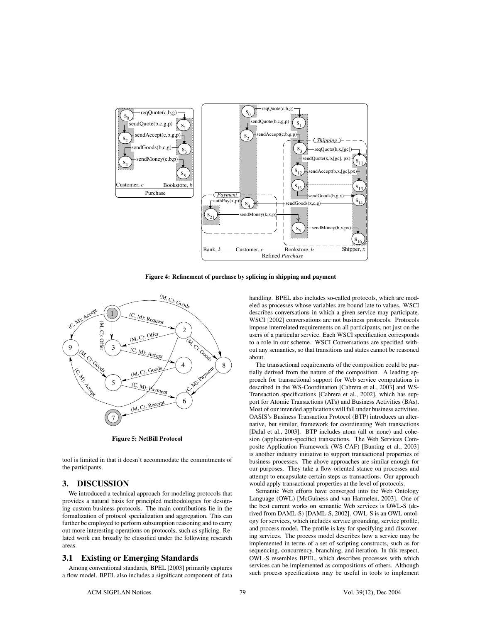

**Figure 4: Refinement of purchase by splicing in shipping and payment**



**Figure 5: NetBill Protocol**

tool is limited in that it doesn't accommodate the commitments of the participants.

# **3. DISCUSSION**

We introduced a technical approach for modeling protocols that provides a natural basis for principled methodologies for designing custom business protocols. The main contributions lie in the formalization of protocol specialization and aggregation. This can further be employed to perform subsumption reasoning and to carry out more interesting operations on protocols, such as splicing. Related work can broadly be classified under the following research areas.

# **3.1 Existing or Emerging Standards**

Among conventional standards, BPEL [2003] primarily captures a flow model. BPEL also includes a significant component of data handling. BPEL also includes so-called protocols, which are modeled as processes whose variables are bound late to values. WSCI describes conversations in which a given service may participate. WSCI [2002] conversations are not business protocols. Protocols impose interrelated requirements on all participants, not just on the users of a particular service. Each WSCI specification corresponds to a role in our scheme. WSCI Conversations are specified without any semantics, so that transitions and states cannot be reasoned about.

The transactional requirements of the composition could be partially derived from the nature of the composition. A leading approach for transactional support for Web service computations is described in the WS-Coordination [Cabrera et al., 2003] and WS-Transaction specifications [Cabrera et al., 2002], which has support for Atomic Transactions (ATs) and Business Activities (BAs). Most of our intended applications will fall under business activities. OASIS's Business Transaction Protocol (BTP) introduces an alternative, but similar, framework for coordinating Web transactions [Dalal et al., 2003]. BTP includes atom (all or none) and cohesion (application-specific) transactions. The Web Services Composite Application Framework (WS-CAF) [Bunting et al., 2003] is another industry initiative to support transactional properties of business processes. The above approaches are similar enough for our purposes. They take a flow-oriented stance on processes and attempt to encapsulate certain steps as transactions. Our approach would apply transactional properties at the level of protocols.

Semantic Web efforts have converged into the Web Ontology Language (OWL) [McGuiness and van Harmelen, 2003]. One of the best current works on semantic Web services is OWL-S (derived from DAML-S) [DAML-S, 2002]. OWL-S is an OWL ontology for services, which includes service grounding, service profile, and process model. The profile is key for specifying and discovering services. The process model describes how a service may be implemented in terms of a set of scripting constructs, such as for sequencing, concurrency, branching, and iteration. In this respect, OWL-S resembles BPEL, which describes processes with which services can be implemented as compositions of others. Although such process specifications may be useful in tools to implement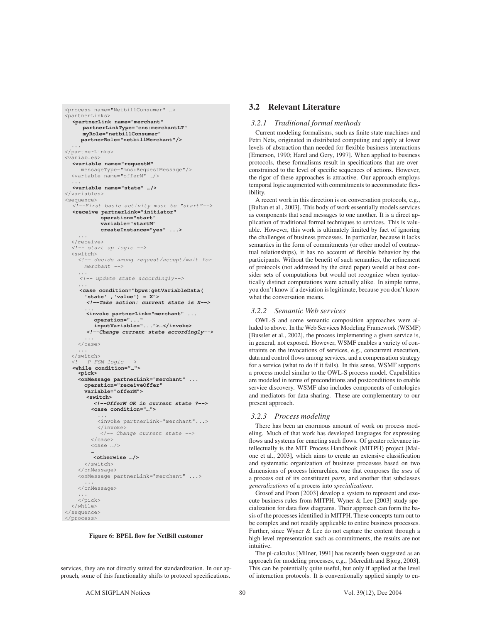```
<process name="NetbillConsumer" …>
<partnerLinks>
<partnerLink name="merchant"
      partnerLinkType="cns:merchantLT"
      myRole="netbillConsumer"
      partnerRole="netbillMerchant"/>
</partnerLinks>
<variables>
<variables>
<variable name="requestM"
messageType="mns:Requestions.ge"/"<br>
<variable name="offerM" .../>
 ...
<variable name="state" …/>
</variables>
<sequence>
<!--First basic activity must be "start"-->
   <receive partnerLink="initiator"
             operation="start"
             variable="startM"
             createInstance="yes" ...>
  </receive>
 </receive>
 <!-- start up logic -->
\langle -- decide among request/accept/wait for
       merchant -->
 ...
<!-- update state accordingly-->
 ...
<case condition="bpws:getVariableData(
        'state' ,'value') = X">
       <!--Take action: current state is X-->
        ... <invoke partnerLink="merchant" ...
          operation="...
           inputVariable="...">…</invoke>
        <!--Change current state accordingly-->
     \langle/case>
  </switch>
 </switch>
 <!-- P-FSM logic -->
  <while condition="…"> <pick>
      <onMessage partnerLink="merchant" ...
        operation="receiveOffer"
        variable="offerM">
       <switch>
          <!--OfferM OK in current state ?-->
          <case condition="…">
 ...
 <invoke partnerLink="merchant"...>
\langle /-- Change current state -->
         <case M …
          <otherwise …/>
       \langle/switch>
     </onMessage>
 </onMessage>
 <onMessage partnerLink="merchant" ...>
     </onMessage>
\ldots \ldots\langlepick>
  \langle/while>
</sequence>
\langle/process>
\overline{p} and \overline{p}
```
#### **Figure 6: BPEL flow for NetBill customer**

services, they are not directly suited for standardization. In our approach, some of this functionality shifts to protocol specifications.

### **3.2 Relevant Literature**

#### *3.2.1 Traditional formal methods*

Current modeling formalisms, such as finite state machines and Petri Nets, originated in distributed computing and apply at lower levels of abstraction than needed for flexible business interactions [Emerson, 1990; Harel and Gery, 1997]. When applied to business protocols, these formalisms result in specifications that are overconstrained to the level of specific sequences of actions. However, the rigor of these approaches is attractive. Our approach employs temporal logic augmented with commitments to accommodate flexibility.

A recent work in this direction is on conversation protocols, e.g., [Bultan et al., 2003]. This body of work essentially models services as components that send messages to one another. It is a direct application of traditional formal techniques to services. This is valuable. However, this work is ultimately limited by fact of ignoring the challenges of business processes. In particular, because it lacks semantics in the form of commitments (or other model of contractual relationships), it has no account of flexible behavior by the participants. Without the benefit of such semantics, the refinement of protocols (not addressed by the cited paper) would at best consider sets of computations but would not recognize when syntactically distinct computations were actually alike. In simple terms, you don't know if a deviation is legitimate, because you don't know what the conversation means.

#### *3.2.2 Semantic Web services*

OWL-S and some semantic composition approaches were alluded to above. In the Web Services Modeling Framework (WSMF) [Bussler et al., 2002], the process implementing a given service is, in general, not exposed. However, WSMF enables a variety of constraints on the invocations of services, e.g., concurrent execution, data and control flows among services, and a compensation strategy for a service (what to do if it fails). In this sense, WSMF supports a process model similar to the OWL-S process model. Capabilities are modeled in terms of preconditions and postconditions to enable service discovery. WSMF also includes components of ontologies and mediators for data sharing. These are complementary to our present approach.

#### *3.2.3 Process modeling*

There has been an enormous amount of work on process modeling. Much of that work has developed languages for expressing flows and systems for enacting such flows. Of greater relevance intellectually is the MIT Process Handbook (MITPH) project [Malone et al., 2003], which aims to create an extensive classification and systematic organization of business processes based on two dimensions of process hierarchies, one that composes the *uses* of a process out of its constituent *parts*, and another that subclasses *generalizations* of a process into *specializations*.

Grosof and Poon [2003] develop a system to represent and execute business rules from MITPH. Wyner & Lee [2003] study specialization for data flow diagrams. Their approach can form the basis of the processes identified in MITPH. These concepts turn out to be complex and not readily applicable to entire business processes. Further, since Wyner & Lee do not capture the content through a high-level representation such as commitments, the results are not intuitive.

The pi-calculus [Milner, 1991] has recently been suggested as an approach for modeling processes, e.g., [Meredith and Bjorg, 2003]. This can be potentially quite useful, but only if applied at the level of interaction protocols. It is conventionally applied simply to en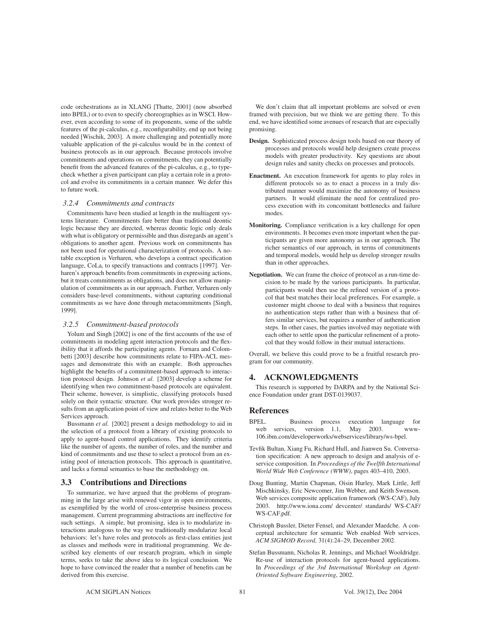code orchestrations as in XLANG [Thatte, 2001] (now absorbed into BPEL) or to even to specify choreographies as in WSCI. However, even according to some of its proponents, some of the subtle features of the pi-calculus, e.g., reconfigurability, end up not being needed [Wischik, 2003]. A more challenging and potentially more valuable application of the pi-calculus would be in the context of business protocols as in our approach. Because protocols involve commitments and operations on commitments, they can potentially benefit from the advanced features of the pi-calculus, e.g., to typecheck whether a given participant can play a certain role in a protocol and evolve its commitments in a certain manner. We defer this to future work.

# *3.2.4 Commitments and contracts*

Commitments have been studied at length in the multiagent systems literature. Commitments fare better than traditional deontic logic because they are directed, whereas deontic logic only deals with what is obligatory or permissible and thus disregards an agent's obligations to another agent. Previous work on commitments has not been used for operational characterization of protocols. A notable exception is Verharen, who develops a contract specification language, CoLa, to specify transactions and contracts [1997]. Verharen's approach benefits from commitments in expressing actions, but it treats commitments as obligations, and does not allow manipulation of commitments as in our approach. Further, Verharen only considers base-level commitments, without capturing conditional commitments as we have done through metacommitments [Singh, 1999].

#### *3.2.5 Commitment-based protocols*

Yolum and Singh [2002] is one of the first accounts of the use of commitments in modeling agent interaction protocols and the flexibility that it affords the participating agents. Fornara and Colombetti [2003] describe how commitments relate to FIPA-ACL messages and demonstrate this with an example. Both approaches highlight the benefits of a commitment-based approach to interaction protocol design. Johnson *et al.* [2003] develop a scheme for identifying when two commitment-based protocols are equivalent. Their scheme, however, is simplistic, classifying protocols based solely on their syntactic structure. Our work provides stronger results from an application point of view and relates better to the Web Services approach.

Bussmann *et al.* [2002] present a design methodology to aid in the selection of a protocol from a library of existing protocols to apply to agent-based control applications. They identify criteria like the number of agents, the number of roles, and the number and kind of commitments and use these to select a protocol from an existing pool of interaction protocols. This approach is quantitative, and lacks a formal semantics to base the methodology on.

# **3.3 Contributions and Directions**

To summarize, we have argued that the problems of programming in the large arise with renewed vigor in open environments, as exemplified by the world of cross-enterprise business process management. Current programming abstractions are ineffective for such settings. A simple, but promising, idea is to modularize interactions analogous to the way we traditionally modularize local behaviors: let's have roles and protocols as first-class entities just as classes and methods were in traditional programming. We described key elements of our research program, which in simple terms, seeks to take the above idea to its logical conclusion. We hope to have convinced the reader that a number of benefits can be derived from this exercise.

We don't claim that all important problems are solved or even framed with precision, but we think we are getting there. To this end, we have identified some avenues of research that are especially promising.

- **Design.** Sophisticated process design tools based on our theory of processes and protocols would help designers create process models with greater productivity. Key questions are about design rules and sanity checks on processes and protocols.
- **Enactment.** An execution framework for agents to play roles in different protocols so as to enact a process in a truly distributed manner would maximize the autonomy of business partners. It would eliminate the need for centralized process execution with its concomitant bottlenecks and failure modes.
- **Monitoring.** Compliance verification is a key challenge for open environments. It becomes even more important when the participants are given more autonomy as in our approach. The richer semantics of our approach, in terms of commitments and temporal models, would help us develop stronger results than in other approaches.
- **Negotiation.** We can frame the choice of protocol as a run-time decision to be made by the various participants. In particular, participants would then use the refined version of a protocol that best matches their local preferences. For example, a customer might choose to deal with a business that requires no authentication steps rather than with a business that offers similar services, but requires a number of authentication steps. In other cases, the parties involved may negotiate with each other to settle upon the particular refinement of a protocol that they would follow in their mutual interactions.

Overall, we believe this could prove to be a fruitful research program for our community.

# **4. ACKNOWLEDGMENTS**

This research is supported by DARPA and by the National Science Foundation under grant DST-0139037.

# **References**

- BPEL. Business process execution language for web services, version 1.1, May 2003. www-106.ibm.com/developerworks/webservices/library/ws-bpel.
- Tevfik Bultan, Xiang Fu, Richard Hull, and Jianwen Su. Conversation specification: A new approach to design and analysis of eservice composition. In *Proceedings of the Twelfth International World Wide Web Conference (WWW)*, pages 403–410, 2003.
- Doug Bunting, Martin Chapman, Oisin Hurley, Mark Little, Jeff Mischkinsky, Eric Newcomer, Jim Webber, and Keith Swenson. Web services composite application framework (WS-CAF), July 2003. http://www.iona.com/ devcenter/ standards/ WS-CAF/ WS-CAF.pdf.
- Christoph Bussler, Dieter Fensel, and Alexander Maedche. A conceptual architecture for semantic Web enabled Web services. *ACM SIGMOD Record*, 31(4):24–29, December 2002.
- Stefan Bussmann, Nicholas R. Jennings, and Michael Wooldridge. Re-use of interaction protocols for agent-based applications. In *Proceedings of the 3rd International Workshop on Agent-Oriented Software Engineering*, 2002.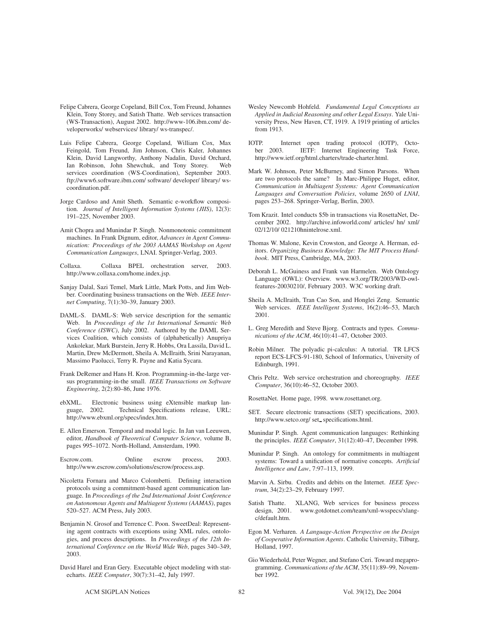- Felipe Cabrera, George Copeland, Bill Cox, Tom Freund, Johannes Klein, Tony Storey, and Satish Thatte. Web services transaction (WS-Transaction), August 2002. http://www-106.ibm.com/ developerworks/ webservices/ library/ ws-transpec/.
- Luis Felipe Cabrera, George Copeland, William Cox, Max Feingold, Tom Freund, Jim Johnson, Chris Kaler, Johannes Klein, David Langworthy, Anthony Nadalin, David Orchard, Ian Robinson, John Shewchuk, and Tony Storey. Web services coordination (WS-Coordination), September 2003. ftp://www6.software.ibm.com/ software/ developer/ library/ wscoordination.pdf.
- Jorge Cardoso and Amit Sheth. Semantic e-workflow composition. *Journal of Intelligent Information Systems (JIIS)*, 12(3): 191–225, November 2003.
- Amit Chopra and Munindar P. Singh. Nonmonotonic commitment machines. In Frank Dignum, editor, *Advances in Agent Communication: Proceedings of the 2003 AAMAS Workshop on Agent Communication Languages*, LNAI. Springer-Verlag, 2003.
- Collaxa. Collaxa BPEL orchestration server, 2003. http://www.collaxa.com/home.index.jsp.
- Sanjay Dalal, Sazi Temel, Mark Little, Mark Potts, and Jim Webber. Coordinating business transactions on the Web. *IEEE Internet Computing*, 7(1):30–39, January 2003.
- DAML-S. DAML-S: Web service description for the semantic Web. In *Proceedings of the 1st International Semantic Web Conference (ISWC)*, July 2002. Authored by the DAML Services Coalition, which consists of (alphabetically) Anupriya Ankolekar, Mark Burstein, Jerry R. Hobbs, Ora Lassila, David L. Martin, Drew McDermott, Sheila A. McIlraith, Srini Narayanan, Massimo Paolucci, Terry R. Payne and Katia Sycara.
- Frank DeRemer and Hans H. Kron. Programming-in-the-large versus programming-in-the small. *IEEE Transactions on Software Engineering*, 2(2):80–86, June 1976.
- ebXML. Electronic business using eXtensible markup lan-Technical Specifications release, URL: http://www.ebxml.org/specs/index.htm.
- E. Allen Emerson. Temporal and modal logic. In Jan van Leeuwen, editor, *Handbook of Theoretical Computer Science*, volume B, pages 995–1072. North-Holland, Amsterdam, 1990.
- Escrow.com. Online escrow process, 2003. http://www.escrow.com/solutions/escrow/process.asp.
- Nicoletta Fornara and Marco Colombetti. Defining interaction protocols using a commitment-based agent communication language. In *Proceedings of the 2nd International Joint Conference on Autonomous Agents and Multiagent Systems (AAMAS)*, pages 520–527. ACM Press, July 2003.
- Benjamin N. Grosof and Terrence C. Poon. SweetDeal: Representing agent contracts with exceptions using XML rules, ontologies, and process descriptions. In *Proceedings of the 12th International Conference on the World Wide Web*, pages 340–349, 2003.
- David Harel and Eran Gery. Executable object modeling with statecharts. *IEEE Computer*, 30(7):31–42, July 1997.
- Wesley Newcomb Hohfeld. *Fundamental Legal Conceptions as Applied in Judicial Reasoning and other Legal Essays*. Yale University Press, New Haven, CT, 1919. A 1919 printing of articles from 1913.
- IOTP. Internet open trading protocol (IOTP), October 2003. IETF: Internet Engineering Task Force, http://www.ietf.org/html.charters/trade-charter.html.
- Mark W. Johnson, Peter McBurney, and Simon Parsons. When are two protocols the same? In Marc-Philippe Huget, editor, *Communication in Multiagent Systems: Agent Communication Languages and Conversation Policies*, volume 2650 of *LNAI*, pages 253–268. Springer-Verlag, Berlin, 2003.
- Tom Krazit. Intel conducts \$5b in transactions via RosettaNet, December 2002. http://archive.infoworld.com/ articles/ hn/ xml/ 02/12/10/ 021210hnintelrose.xml.
- Thomas W. Malone, Kevin Crowston, and George A. Herman, editors. *Organizing Business Knowledge: The MIT Process Handbook*. MIT Press, Cambridge, MA, 2003.
- Deborah L. McGuiness and Frank van Harmelen. Web Ontology Language (OWL): Overview. www.w3.org/TR/2003/WD-owlfeatures-20030210/, February 2003. W3C working draft.
- Sheila A. McIlraith, Tran Cao Son, and Honglei Zeng. Semantic Web services. *IEEE Intelligent Systems*, 16(2):46–53, March 2001.
- L. Greg Meredith and Steve Bjorg. Contracts and types. *Communications of the ACM*, 46(10):41–47, October 2003.
- Robin Milner. The polyadic pi-calculus: A tutorial. TR LFCS report ECS-LFCS-91-180, School of Informatics, University of Edinburgh, 1991.
- Chris Peltz. Web service orchestration and choreography. *IEEE Computer*, 36(10):46–52, October 2003.
- RosettaNet. Home page, 1998. www.rosettanet.org.
- SET. Secure electronic transactions (SET) specifications, 2003. http://www.setco.org/ set\_specifications.html.
- Munindar P. Singh. Agent communication languages: Rethinking the principles. *IEEE Computer*, 31(12):40–47, December 1998.
- Munindar P. Singh. An ontology for commitments in multiagent systems: Toward a unification of normative concepts. *Artificial Intelligence and Law*, 7:97–113, 1999.
- Marvin A. Sirbu. Credits and debits on the Internet. *IEEE Spectrum*, 34(2):23–29, February 1997.
- Satish Thatte. XLANG, Web services for business process design, 2001. www.gotdotnet.com/team/xml-wsspecs/xlangwww.gotdotnet.com/team/xml-wsspecs/xlangc/default.htm.
- Egon M. Verharen. *A Language-Action Perspective on the Design of Cooperative Information Agents*. Catholic University, Tilburg, Holland, 1997.
- Gio Wiederhold, Peter Wegner, and Stefano Ceri. Toward megaprogramming. *Communications of the ACM*, 35(11):89–99, November 1992.